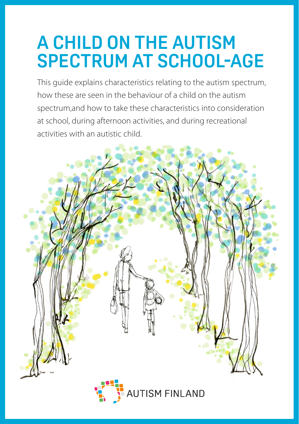# **A CHILD ON THE AUTISM SPECTRUM AT SCHOOL-AGE**

This guide explains characteristics relating to the autism spectrum, how these are seen in the behaviour of a child on the autism spectrum,and how to take these characteristics into consideration at school, during afternoon activities, and during recreational activities with an autistic child.

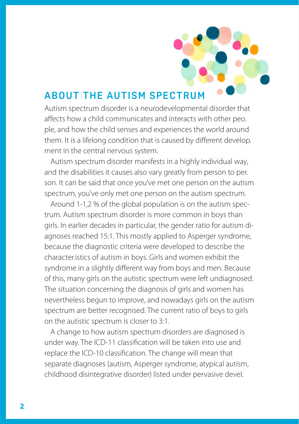

# **A B OUT THE AUTISM SPECTRUM**

Autism spectrum disorder is a neurodevelopmental disorder that affects how a child communicates and interacts with other peo. ple, and how the child senses and experiences the world around them. It is a lifelong condition that is caused by different develop. ment in the central nervous system.

Autism spectrum disorder manifests in a highly individual way, and the disabilities it causes also vary greatly from person to per. son. It can be said that once you've met one person on the autism spectrum, you've only met one person on the autism spectrum.

Around 1-1,2 % of the global population is on the autism spectrum. Autism spectrum disorder is more common in boys than girls. In earlier decades in particular, the gender ratio for autism diagnoses reached 15:1. This mostly applied to Asperger syndrome, because the diagnostic criteria were developed to describe the character.istics of autism in boys. Girls and women exhibit the syndrome in a slightly different way from boys and men. Because of this, many girls on the autistic spectrum were left undiagnosed. The situation concerning the diagnosis of girls and women has nevertheless begun to improve, and nowadays girls on the autism spectrum are better recognised. The current ratio of boys to girls on the autistic spectrum is closer to 3:1.

A change to how autism spectrum disorders are diagnosed is under way. The ICD-11 classification will be taken into use and replace the ICD-10 classification. The change will mean that separate diagnoses (autism, Asperger syndrome, atypical autism, childhood disintegrative disorder) listed under pervasive devel.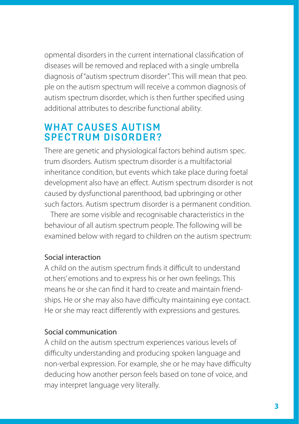opmental disorders in the current international classification of diseases will be removed and replaced with a single umbrella diagnosis of "autism spectrum disorder". This will mean that peo. ple on the autism spectrum will receive a common diagnosis of autism spectrum disorder, which is then further specified using additional attributes to describe functional ability.

# **WHAT CAUSES AUTISM SPECTRUM DISORDER?**

There are genetic and physiological factors behind autism spec. trum disorders. Autism spectrum disorder is a multifactorial inheritance condition, but events which take place during foetal development also have an effect. Autism spectrum disorder is not caused by dysfunctional parenthood, bad upbringing or other such factors. Autism spectrum disorder is a permanent condition.

There are some visible and recognisable characteristics in the behaviour of all autism spectrum people. The following will be examined below with regard to children on the autism spectrum:

# Social interaction

A child on the autism spectrum finds it difficult to understand ot.hers' emotions and to express his or her own feelings. This means he or she can find it hard to create and maintain friendships. He or she may also have difficulty maintaining eye contact. He or she may react differently with expressions and gestures.

# Social communication

A child on the autism spectrum experiences various levels of difficulty understanding and producing spoken language and non-verbal expression. For example, she or he may have difficulty deducing how another person feels based on tone of voice, and may interpret language very literally.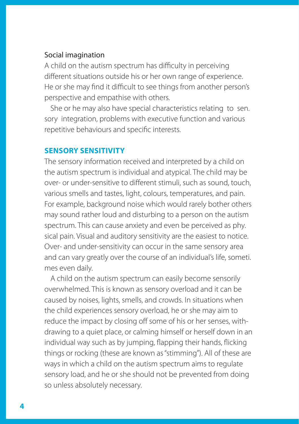#### Social imagination

A child on the autism spectrum has difficulty in perceiving different situations outside his or her own range of experience. He or she may find it difficult to see things from another person's perspective and empathise with others.

She or he may also have special characteristics relating to sen. sory integration, problems with executive function and various repetitive behaviours and specific interests.

#### **SENSORY SENSITIVITY**

The sensory information received and interpreted by a child on the autism spectrum is individual and atypical. The child may be over- or under-sensitive to different stimuli, such as sound, touch, various smells and tastes, light, colours, temperatures, and pain. For example, background noise which would rarely bother others may sound rather loud and disturbing to a person on the autism spectrum. This can cause anxiety and even be perceived as phy. sical pain. Visual and auditory sensitivity are the easiest to notice. Over- and under-sensitivity can occur in the same sensory area and can vary greatly over the course of an individual's life, someti. mes even daily.

A child on the autism spectrum can easily become sensorily overwhelmed. This is known as sensory overload and it can be caused by noises, lights, smells, and crowds. In situations when the child experiences sensory overload, he or she may aim to reduce the impact by closing off some of his or her senses, withdrawing to a quiet place, or calming himself or herself down in an individual way such as by jumping, flapping their hands, flicking things or rocking (these are known as "stimming"). All of these are ways in which a child on the autism spectrum aims to regulate sensory load, and he or she should not be prevented from doing so unless absolutely necessary.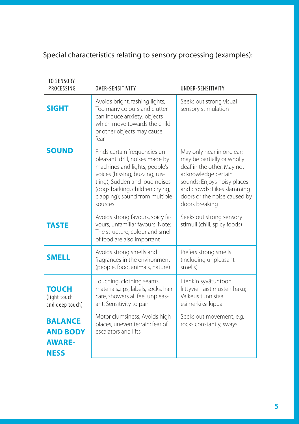# Special characteristics relating to sensory processing (examples):

| <b>TO SENSORY</b><br>PROCESSING                                   | OVER-SENSITIVITY                                                                                                                                                                                                                                      | UNDER-SENSITIVITY                                                                                                                                                                                                           |
|-------------------------------------------------------------------|-------------------------------------------------------------------------------------------------------------------------------------------------------------------------------------------------------------------------------------------------------|-----------------------------------------------------------------------------------------------------------------------------------------------------------------------------------------------------------------------------|
| <b>SIGHT</b>                                                      | Avoids bright, fashing lights;<br>Too many colours and clutter<br>can induce anxiety; objects<br>which move towards the child<br>or other objects may cause<br>fear                                                                                   | Seeks out strong visual<br>sensory stimulation                                                                                                                                                                              |
| <b>SOUND</b>                                                      | Finds certain frequencies un-<br>pleasant: drill, noises made by<br>machines and lights, people's<br>voices (hissing, buzzing, rus-<br>tling); Sudden and loud noises<br>(dogs barking, children crying,<br>clapping); sound from multiple<br>sources | May only hear in one ear;<br>may be partially or wholly<br>deaf in the other. May not<br>acknowledge certain<br>sounds; Enjoys noisy places<br>and crowds; Likes slamming<br>doors or the noise caused by<br>doors breaking |
| <b>TASTE</b>                                                      | Avoids strong favours, spicy fa-<br>vours, unfamiliar favours. Note:<br>The structure, colour and smell<br>of food are also important                                                                                                                 | Seeks out strong sensory<br>stimuli (chili, spicy foods)                                                                                                                                                                    |
| <b>SMELL</b>                                                      | Avoids strong smells and<br>fragrances in the environment<br>(people, food, animals, nature)                                                                                                                                                          | Prefers strong smells<br>(including unpleasant<br>smells)                                                                                                                                                                   |
| TOUCH<br>(light touch<br>and deep touch)                          | Touching, clothing seams,<br>materials, zips, labels, socks, hair<br>care, showers all feel unpleas-<br>ant. Sensitivity to pain                                                                                                                      | Etenkin syvätuntoon<br>liittyvien aistimusten haku;<br>Vaikeus tunnistaa<br>esimerkiksi kipua                                                                                                                               |
| <b>BALANCE</b><br><b>AND BODY</b><br><b>AWARE-</b><br><b>NESS</b> | Motor clumsiness; Avoids high<br>places, uneven terrain; fear of<br>escalators and lifts                                                                                                                                                              | Seeks out movement, e.g.<br>rocks constantly, sways                                                                                                                                                                         |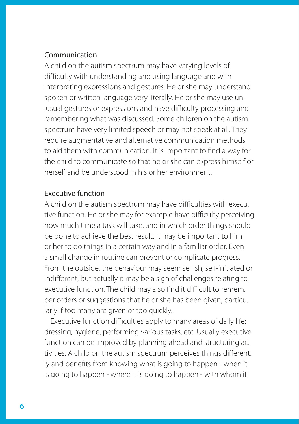#### Communication

A child on the autism spectrum may have varying levels of difficulty with understanding and using language and with interpreting expressions and gestures. He or she may understand spoken or written language very literally. He or she may use un- .usual gestures or expressions and have difficulty processing and remembering what was discussed. Some children on the autism spectrum have very limited speech or may not speak at all. They require augmentative and alternative communication methods to aid them with communication. It is important to find a way for the child to communicate so that he or she can express himself or herself and be understood in his or her environment.

#### Executive function

A child on the autism spectrum may have difficulties with execu. tive function. He or she may for example have difficulty perceiving how much time a task will take, and in which order things should be done to achieve the best result. It may be important to him or her to do things in a certain way and in a familiar order. Even a small change in routine can prevent or complicate progress. From the outside, the behaviour may seem selfish, self-initiated or indifferent, but actually it may be a sign of challenges relating to executive function. The child may also find it difficult to remem. ber orders or suggestions that he or she has been given, particu. larly if too many are given or too quickly.

Executive function difficulties apply to many areas of daily life: dressing, hygiene, performing various tasks, etc. Usually executive function can be improved by planning ahead and structuring ac. tivities. A child on the autism spectrum perceives things different. ly and benefits from knowing what is going to happen - when it is going to happen - where it is going to happen - with whom it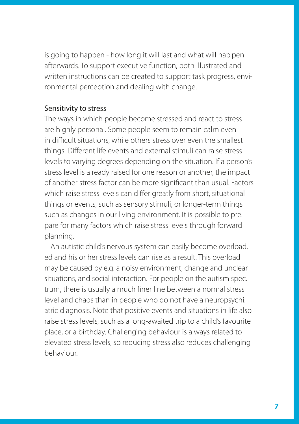is going to happen - how long it will last and what will hap.pen afterwards. To support executive function, both illustrated and written instructions can be created to support task progress, environmental perception and dealing with change.

#### Sensitivity to stress

The ways in which people become stressed and react to stress are highly personal. Some people seem to remain calm even in difficult situations, while others stress over even the smallest things. Different life events and external stimuli can raise stress levels to varying degrees depending on the situation. If a person's stress level is already raised for one reason or another, the impact of another stress factor can be more significant than usual. Factors which raise stress levels can differ greatly from short, situational things or events, such as sensory stimuli, or longer-term things such as changes in our living environment. It is possible to pre. pare for many factors which raise stress levels through forward planning.

An autistic child's nervous system can easily become overload. ed and his or her stress levels can rise as a result. This overload may be caused by e.g. a noisy environment, change and unclear situations, and social interaction. For people on the autism spec. trum, there is usually a much finer line between a normal stress level and chaos than in people who do not have a neuropsychi. atric diagnosis. Note that positive events and situations in life also raise stress levels, such as a long-awaited trip to a child's favourite place, or a birthday. Challenging behaviour is always related to elevated stress levels, so reducing stress also reduces challenging behaviour.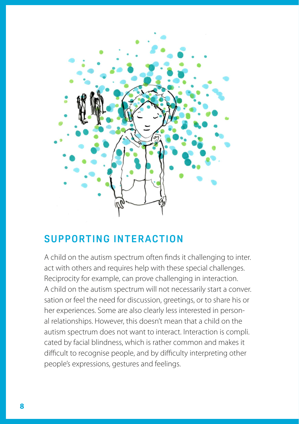

# **SUPPORTING INTERACTION**

A child on the autism spectrum often finds it challenging to inter. act with others and requires help with these special challenges. Reciprocity for example, can prove challenging in interaction. A child on the autism spectrum will not necessarily start a conver. sation or feel the need for discussion, greetings, or to share his or her experiences. Some are also clearly less interested in personal relationships. However, this doesn't mean that a child on the autism spectrum does not want to interact. Interaction is compli. cated by facial blindness, which is rather common and makes it difficult to recognise people, and by difficulty interpreting other people's expressions, gestures and feelings.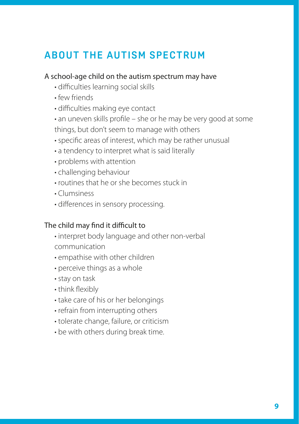# **ABOUT THE AUTISM SPECTRUM**

#### A school-age child on the autism spectrum may have

- difficulties learning social skills
- few friends
- difficulties making eye contact
- an uneven skills profile she or he may be very good at some things, but don't seem to manage with others
- specific areas of interest, which may be rather unusual
- a tendency to interpret what is said literally
- problems with attention
- challenging behaviour
- routines that he or she becomes stuck in
- Clumsiness
- differences in sensory processing.

### The child may find it difficult to

- interpret body language and other non-verbal communication
- empathise with other children
- perceive things as a whole
- stay on task
- think flexibly
- take care of his or her belongings
- refrain from interrupting others
- tolerate change, failure, or criticism
- be with others during break time.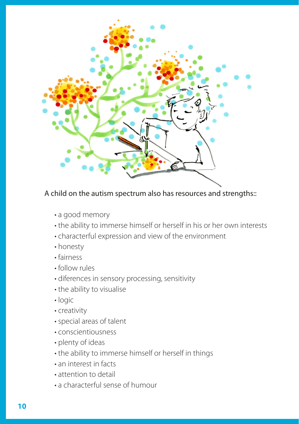

# A child on the autism spectrum also has resources and strengths::

- a good memory
- the ability to immerse himself or herself in his or her own interests
- characterful expression and view of the environment
- honesty
- fairness
- follow rules
- diferences in sensory processing, sensitivity
- the ability to visualise
- logic
- creativity
- special areas of talent
- conscientiousness
- plenty of ideas
- the ability to immerse himself or herself in things
- an interest in facts
- attention to detail
- a characterful sense of humour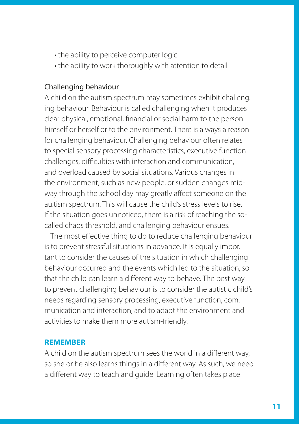- the ability to perceive computer logic
- the ability to work thoroughly with attention to detail

### Challenging behaviour

A child on the autism spectrum may sometimes exhibit challeng. ing behaviour. Behaviour is called challenging when it produces clear physical, emotional, financial or social harm to the person himself or herself or to the environment. There is always a reason for challenging behaviour. Challenging behaviour often relates to special sensory processing characteristics, executive function challenges, difficulties with interaction and communication, and overload caused by social situations. Various changes in the environment, such as new people, or sudden changes midway through the school day may greatly affect someone on the au.tism spectrum. This will cause the child's stress levels to rise. If the situation goes unnoticed, there is a risk of reaching the socalled chaos threshold, and challenging behaviour ensues.

The most effective thing to do to reduce challenging behaviour is to prevent stressful situations in advance. It is equally impor. tant to consider the causes of the situation in which challenging behaviour occurred and the events which led to the situation, so that the child can learn a different way to behave. The best way to prevent challenging behaviour is to consider the autistic child's needs regarding sensory processing, executive function, com. munication and interaction, and to adapt the environment and activities to make them more autism-friendly.

#### **REMEMBER**

A child on the autism spectrum sees the world in a different way, so she or he also learns things in a different way. As such, we need a different way to teach and guide. Learning often takes place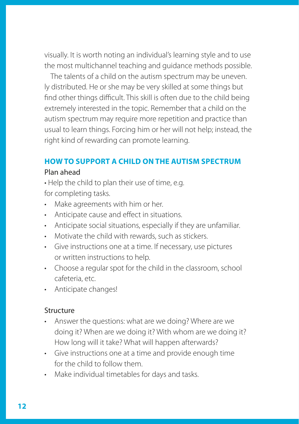visually. It is worth noting an individual's learning style and to use the most multichannel teaching and guidance methods possible.

The talents of a child on the autism spectrum may be uneven. ly distributed. He or she may be very skilled at some things but find other things difficult. This skill is often due to the child being extremely interested in the topic. Remember that a child on the autism spectrum may require more repetition and practice than usual to learn things. Forcing him or her will not help; instead, the right kind of rewarding can promote learning.

## **HOW TO SUPPORT A CHILD ON THE AUTISM SPECTRUM**

#### Plan ahead

• Help the child to plan their use of time, e.g. for completing tasks.

- Make agreements with him or her.
- Anticipate cause and effect in situations.
- Anticipate social situations, especially if they are unfamiliar.
- Motivate the child with rewards, such as stickers.
- Give instructions one at a time. If necessary, use pictures or written instructions to help.
- Choose a regular spot for the child in the classroom, school cafeteria, etc.
- Anticipate changes!

#### Structure

- Answer the questions: what are we doing? Where are we doing it? When are we doing it? With whom are we doing it? How long will it take? What will happen afterwards?
- Give instructions one at a time and provide enough time for the child to follow them.
- Make individual timetables for days and tasks.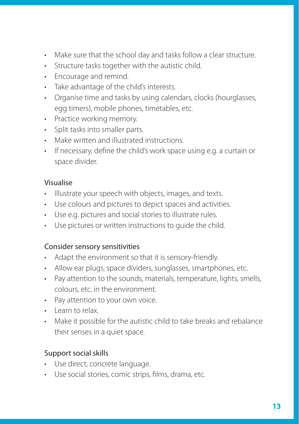- Make sure that the school day and tasks follow a clear structure.
- Structure tasks together with the autistic child.
- Encourage and remind.
- Take advantage of the child's interests.
- Organise time and tasks by using calendars, clocks (hourglasses, egg timers), mobile phones, timetables, etc.
- Practice working memory.
- Split tasks into smaller parts.
- Make written and illustrated instructions.
- If necessary, define the child's work space using e.g. a curtain or space divider.

# Visualise

- Illustrate your speech with objects, images, and texts.
- Use colours and pictures to depict spaces and activities.
- Use e.g. pictures and social stories to illustrate rules.
- Use pictures or written instructions to guide the child.

# Consider sensory sensitivities

- Adapt the environment so that it is sensory-friendly.
- Allow ear plugs, space dividers, sunglasses, smartphones, etc.
- Pay attention to the sounds, materials, temperature, lights, smells, colours, etc. in the environment.
- Pay attention to your own voice.
- Learn to relax.
- Make it possible for the autistic child to take breaks and rebalance their senses in a quiet space.

# Support social skills

- Use direct, concrete language.
- Use social stories, comic strips, films, drama, etc.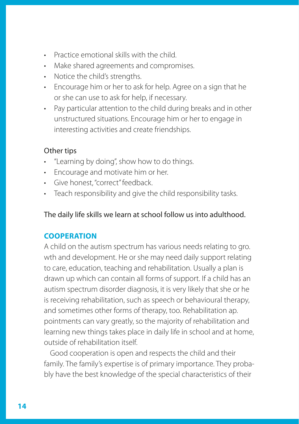- Practice emotional skills with the child.
- Make shared agreements and compromises.
- Notice the child's strengths.
- Encourage him or her to ask for help. Agree on a sign that he or she can use to ask for help, if necessary.
- Pay particular attention to the child during breaks and in other unstructured situations. Encourage him or her to engage in interesting activities and create friendships.

# Other tips

- "Learning by doing", show how to do things.
- Encourage and motivate him or her.
- Give honest, "correct" feedback.
- Teach responsibility and give the child responsibility tasks.

The daily life skills we learn at school follow us into adulthood.

# **COOPERATION**

A child on the autism spectrum has various needs relating to gro. wth and development. He or she may need daily support relating to care, education, teaching and rehabilitation. Usually a plan is drawn up which can contain all forms of support. If a child has an autism spectrum disorder diagnosis, it is very likely that she or he is receiving rehabilitation, such as speech or behavioural therapy, and sometimes other forms of therapy, too. Rehabilitation ap. pointments can vary greatly, so the majority of rehabilitation and learning new things takes place in daily life in school and at home, outside of rehabilitation itself.

Good cooperation is open and respects the child and their family. The family's expertise is of primary importance. They probably have the best knowledge of the special characteristics of their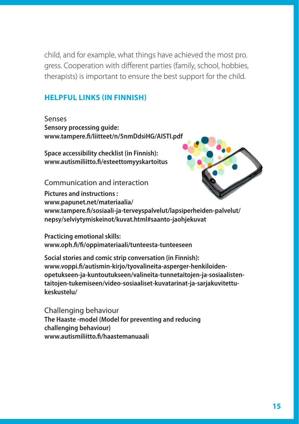child, and for example, what things have achieved the most pro. gress. Cooperation with different parties (family, school, hobbies, therapists) is important to ensure the best support for the child.

#### **HELPFUL LINKS (IN FINNISH)**

Senses **Sensory processing guide: www.tampere.fi/liitteet/n/5nmDdsiHG/AISTI.pdf**

**Space accessibility checklist (in Finnish): www.autismiliitto.fi/esteettomyyskartoitus**

Communication and interaction



**Pictures and instructions : www.papunet.net/materiaalia/ www.tampere.fi/sosiaali-ja-terveyspalvelut/lapsiperheiden-palvelut/ nepsy/selviytymiskeinot/kuvat.html#saanto-jaohjekuvat**

**Practicing emotional skills: www.oph.fi/fi/oppimateriaali/tunteesta-tunteeseen**

**Social stories and comic strip conversation (in Finnish): www.voppi.fi/autismin-kirjo/tyovalineita-asperger-henkiloidenopetukseen-ja-kuntoutukseen/valineita-tunnetaitojen-ja-sosiaalistentaitojen-tukemiseen/video-sosiaaliset-kuvatarinat-ja-sarjakuvitettukeskustelu/**

Challenging behaviour **The Haaste -model (Model for preventing and reducing challenging behaviour) www.autismiliitto.fi/haastemanuaali**